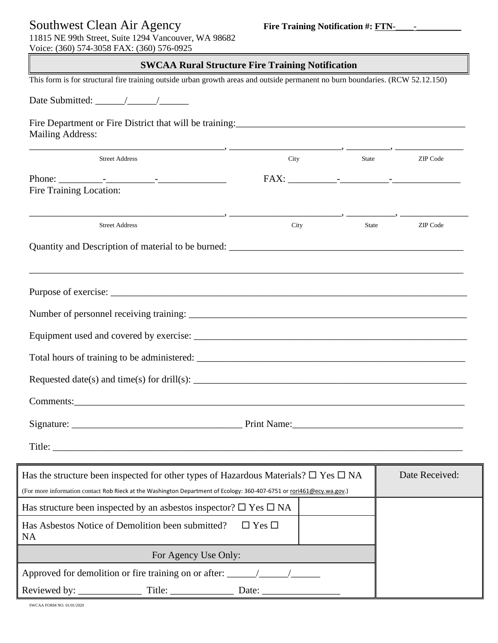## Southwest Clean Air Agency **Fire Training Notification #: FTN**-\_\_\_\_-\_\_\_\_\_\_\_\_\_\_

11815 NE 99th Street, Suite 1294 Vancouver, WA 98682 Voice: (360) 574-3058 FAX: (360) 576-0925

## **SWCAA Rural Structure Fire Training Notification**

| This form is for structural fire training outside urban growth areas and outside permanent no burn boundaries. (RCW 52.12.150)                                                                                                                                                            |                   |               |                |
|-------------------------------------------------------------------------------------------------------------------------------------------------------------------------------------------------------------------------------------------------------------------------------------------|-------------------|---------------|----------------|
|                                                                                                                                                                                                                                                                                           |                   |               |                |
| Fire Department or Fire District that will be training:<br><u>Fire Department or Fire District that will be training:</u><br><b>Mailing Address:</b>                                                                                                                                      |                   |               |                |
| <b>Street Address</b>                                                                                                                                                                                                                                                                     |                   | City<br>State | ZIP Code       |
|                                                                                                                                                                                                                                                                                           |                   |               |                |
| Fire Training Location:                                                                                                                                                                                                                                                                   |                   |               |                |
| <b>Street Address</b>                                                                                                                                                                                                                                                                     |                   | City<br>State | ZIP Code       |
|                                                                                                                                                                                                                                                                                           |                   |               |                |
| Requested date(s) and time(s) for drill(s): $\frac{1}{2}$ = $\frac{1}{2}$ = $\frac{1}{2}$ = $\frac{1}{2}$ = $\frac{1}{2}$ = $\frac{1}{2}$ = $\frac{1}{2}$ = $\frac{1}{2}$ = $\frac{1}{2}$ = $\frac{1}{2}$ = $\frac{1}{2}$ = $\frac{1}{2}$ = $\frac{1}{2}$ = $\frac{1}{2}$ = $\frac{1}{2}$ |                   |               |                |
| Has the structure been inspected for other types of Hazardous Materials? $\square$ Yes $\square$ NA                                                                                                                                                                                       |                   |               | Date Received: |
| (For more information contact Rob Rieck at the Washington Department of Ecology: 360-407-6751 or rori461@ecy.wa.gov.)                                                                                                                                                                     |                   |               |                |
| Has structure been inspected by an asbestos inspector? $\square$ Yes $\square$ NA                                                                                                                                                                                                         |                   |               |                |
| Has Asbestos Notice of Demolition been submitted?<br><b>NA</b>                                                                                                                                                                                                                            | $\Box$ Yes $\Box$ |               |                |
| For Agency Use Only:                                                                                                                                                                                                                                                                      |                   |               |                |
|                                                                                                                                                                                                                                                                                           |                   |               |                |
|                                                                                                                                                                                                                                                                                           |                   |               |                |